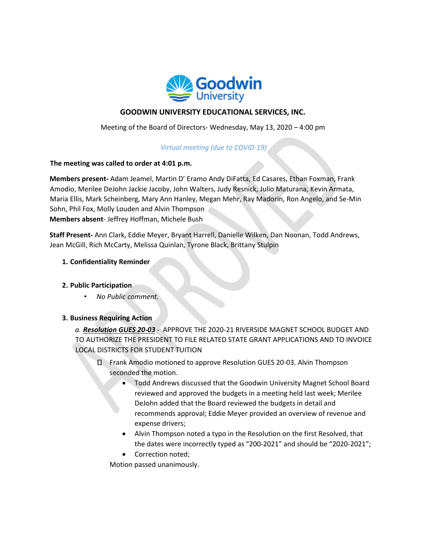

# **GOODWIN UNIVERSITY EDUCATIONAL SERVICES, INC.**

Meeting of the Board of Directors- Wednesday, May 13, 2020 – 4:00 pm

## *Virtual meeting (due to COVID-19)*

#### **The meeting was called to order at 4:01 p.m.**

**Members present-** Adam Jeamel, Martin D' Eramo Andy DiFatta, Ed Casares, Ethan Foxman, Frank Amodio, Merilee DeJohn Jackie Jacoby, John Walters, Judy Resnick, Julio Maturana, Kevin Armata, Maria Ellis, Mark Scheinberg, Mary Ann Hanley, Megan Mehr, Ray Madorin, Ron Angelo, and Se-Min Sohn, Phil Fox, Molly Louden and Alvin Thompson **Members absent**- Jeffrey Hoffman, Michele Bush

**Staff Present-** Ann Clark, Eddie Meyer, Bryant Harrell, Danielle Wilken, Dan Noonan, Todd Andrews, Jean McGill, Rich McCarty, Melissa Quinlan, Tyrone Black, Brittany Stulpin

#### **1. Confidentiality Reminder**

## **2. Public Participation**

• *No Public comment.*

## **3. Business Requiring Action**

*a. Resolution GUES 20-03* - APPROVE THE 2020-21 RIVERSIDE MAGNET SCHOOL BUDGET AND TO AUTHORIZE THE PRESIDENT TO FILE RELATED STATE GRANT APPLICATIONS AND TO INVOICE LOCAL DISTRICTS FOR STUDENT TUITION

- Frank Amodio motioned to approve Resolution GUES 20-03. Alvin Thompson seconded the motion.
	- Todd Andrews discussed that the Goodwin University Magnet School Board reviewed and approved the budgets in a meeting held last week; Merilee DeJohn added that the Board reviewed the budgets in detail and recommends approval; Eddie Meyer provided an overview of revenue and expense drivers;
	- Alvin Thompson noted a typo in the Resolution on the first Resolved, that the dates were incorrectly typed as "200-2021" and should be "2020-2021";
	- Correction noted;

Motion passed unanimously.